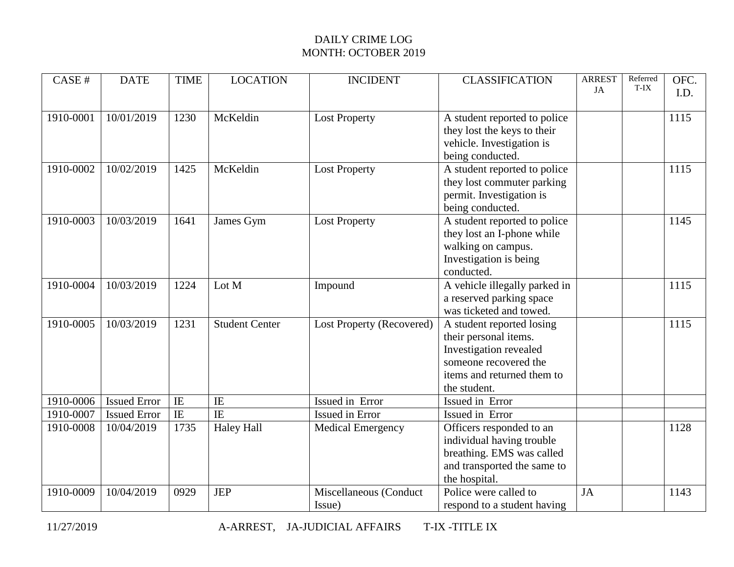| CASE#     | <b>DATE</b>         | <b>TIME</b>    | <b>LOCATION</b>       | <b>INCIDENT</b>           | <b>CLASSIFICATION</b>         | <b>ARREST</b><br>JA | Referred<br>T-IX | OFC. |
|-----------|---------------------|----------------|-----------------------|---------------------------|-------------------------------|---------------------|------------------|------|
|           |                     |                |                       |                           |                               |                     |                  | I.D. |
| 1910-0001 | 10/01/2019          | 1230           | McKeldin              | <b>Lost Property</b>      | A student reported to police  |                     |                  | 1115 |
|           |                     |                |                       |                           | they lost the keys to their   |                     |                  |      |
|           |                     |                |                       |                           | vehicle. Investigation is     |                     |                  |      |
|           |                     |                |                       |                           | being conducted.              |                     |                  |      |
| 1910-0002 | 10/02/2019          | 1425           | McKeldin              | <b>Lost Property</b>      | A student reported to police  |                     |                  | 1115 |
|           |                     |                |                       |                           | they lost commuter parking    |                     |                  |      |
|           |                     |                |                       |                           | permit. Investigation is      |                     |                  |      |
|           |                     |                |                       |                           | being conducted.              |                     |                  |      |
| 1910-0003 | 10/03/2019          | 1641           | James Gym             | <b>Lost Property</b>      | A student reported to police  |                     |                  | 1145 |
|           |                     |                |                       |                           | they lost an I-phone while    |                     |                  |      |
|           |                     |                |                       |                           | walking on campus.            |                     |                  |      |
|           |                     |                |                       |                           | Investigation is being        |                     |                  |      |
|           |                     |                |                       |                           | conducted.                    |                     |                  |      |
| 1910-0004 | 10/03/2019          | 1224           | Lot M                 | Impound                   | A vehicle illegally parked in |                     |                  | 1115 |
|           |                     |                |                       |                           | a reserved parking space      |                     |                  |      |
|           |                     |                |                       |                           | was ticketed and towed.       |                     |                  |      |
| 1910-0005 | 10/03/2019          | 1231           | <b>Student Center</b> | Lost Property (Recovered) | A student reported losing     |                     |                  | 1115 |
|           |                     |                |                       |                           | their personal items.         |                     |                  |      |
|           |                     |                |                       |                           | Investigation revealed        |                     |                  |      |
|           |                     |                |                       |                           | someone recovered the         |                     |                  |      |
|           |                     |                |                       |                           | items and returned them to    |                     |                  |      |
|           |                     |                |                       |                           | the student.                  |                     |                  |      |
| 1910-0006 | <b>Issued Error</b> | IE             | IE                    | Issued in Error           | Issued in Error               |                     |                  |      |
| 1910-0007 | <b>Issued Error</b> | $\overline{E}$ | $\overline{I}$        | Issued in Error           | Issued in Error               |                     |                  |      |
| 1910-0008 | 10/04/2019          | 1735           | <b>Haley Hall</b>     | <b>Medical Emergency</b>  | Officers responded to an      |                     |                  | 1128 |
|           |                     |                |                       |                           | individual having trouble     |                     |                  |      |
|           |                     |                |                       |                           | breathing. EMS was called     |                     |                  |      |
|           |                     |                |                       |                           | and transported the same to   |                     |                  |      |
|           |                     |                |                       |                           | the hospital.                 |                     |                  |      |
| 1910-0009 | 10/04/2019          | 0929           | <b>JEP</b>            | Miscellaneous (Conduct    | Police were called to         | JA                  |                  | 1143 |
|           |                     |                |                       | Issue)                    | respond to a student having   |                     |                  |      |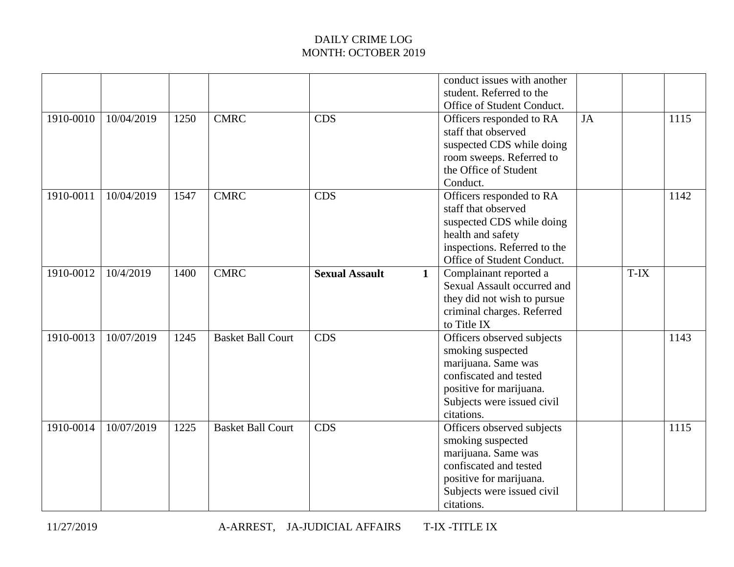|           |            |      |                          |                       |              | conduct issues with another<br>student. Referred to the<br>Office of Student Conduct.                                                                                   |    |      |      |
|-----------|------------|------|--------------------------|-----------------------|--------------|-------------------------------------------------------------------------------------------------------------------------------------------------------------------------|----|------|------|
| 1910-0010 | 10/04/2019 | 1250 | CMRC                     | <b>CDS</b>            |              | Officers responded to RA<br>staff that observed<br>suspected CDS while doing<br>room sweeps. Referred to<br>the Office of Student<br>Conduct.                           | JA |      | 1115 |
| 1910-0011 | 10/04/2019 | 1547 | <b>CMRC</b>              | <b>CDS</b>            |              | Officers responded to RA<br>staff that observed<br>suspected CDS while doing<br>health and safety<br>inspections. Referred to the<br>Office of Student Conduct.         |    |      | 1142 |
| 1910-0012 | 10/4/2019  | 1400 | <b>CMRC</b>              | <b>Sexual Assault</b> | $\mathbf{1}$ | Complainant reported a<br>Sexual Assault occurred and<br>they did not wish to pursue<br>criminal charges. Referred<br>to Title IX                                       |    | T-IX |      |
| 1910-0013 | 10/07/2019 | 1245 | <b>Basket Ball Court</b> | <b>CDS</b>            |              | Officers observed subjects<br>smoking suspected<br>marijuana. Same was<br>confiscated and tested<br>positive for marijuana.<br>Subjects were issued civil<br>citations. |    |      | 1143 |
| 1910-0014 | 10/07/2019 | 1225 | <b>Basket Ball Court</b> | <b>CDS</b>            |              | Officers observed subjects<br>smoking suspected<br>marijuana. Same was<br>confiscated and tested<br>positive for marijuana.<br>Subjects were issued civil<br>citations. |    |      | 1115 |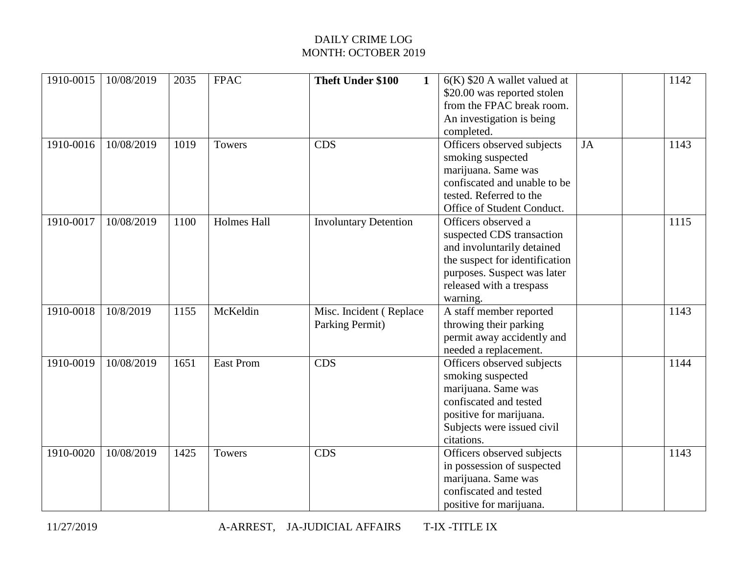| 1910-0015 | 10/08/2019 | 2035 | <b>FPAC</b>        | Theft Under \$100<br>1                     | $6(K)$ \$20 A wallet valued at<br>\$20.00 was reported stolen<br>from the FPAC break room.<br>An investigation is being<br>completed.                                                   |           | 1142 |
|-----------|------------|------|--------------------|--------------------------------------------|-----------------------------------------------------------------------------------------------------------------------------------------------------------------------------------------|-----------|------|
| 1910-0016 | 10/08/2019 | 1019 | <b>Towers</b>      | <b>CDS</b>                                 | Officers observed subjects<br>smoking suspected<br>marijuana. Same was<br>confiscated and unable to be<br>tested. Referred to the<br>Office of Student Conduct.                         | <b>JA</b> | 1143 |
| 1910-0017 | 10/08/2019 | 1100 | <b>Holmes Hall</b> | <b>Involuntary Detention</b>               | Officers observed a<br>suspected CDS transaction<br>and involuntarily detained<br>the suspect for identification<br>purposes. Suspect was later<br>released with a trespass<br>warning. |           | 1115 |
| 1910-0018 | 10/8/2019  | 1155 | McKeldin           | Misc. Incident (Replace<br>Parking Permit) | A staff member reported<br>throwing their parking<br>permit away accidently and<br>needed a replacement.                                                                                |           | 1143 |
| 1910-0019 | 10/08/2019 | 1651 | <b>East Prom</b>   | <b>CDS</b>                                 | Officers observed subjects<br>smoking suspected<br>marijuana. Same was<br>confiscated and tested<br>positive for marijuana.<br>Subjects were issued civil<br>citations.                 |           | 1144 |
| 1910-0020 | 10/08/2019 | 1425 | <b>Towers</b>      | <b>CDS</b>                                 | Officers observed subjects<br>in possession of suspected<br>marijuana. Same was<br>confiscated and tested<br>positive for marijuana.                                                    |           | 1143 |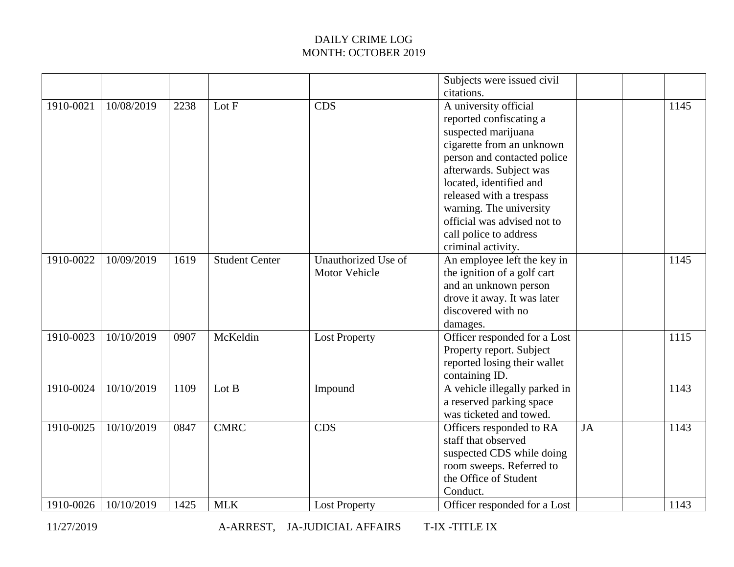|           |            |      |                       |                      | Subjects were issued civil    |    |      |
|-----------|------------|------|-----------------------|----------------------|-------------------------------|----|------|
|           |            |      |                       |                      | citations.                    |    |      |
| 1910-0021 | 10/08/2019 | 2238 | Lot F                 | <b>CDS</b>           | A university official         |    | 1145 |
|           |            |      |                       |                      | reported confiscating a       |    |      |
|           |            |      |                       |                      | suspected marijuana           |    |      |
|           |            |      |                       |                      | cigarette from an unknown     |    |      |
|           |            |      |                       |                      | person and contacted police   |    |      |
|           |            |      |                       |                      | afterwards. Subject was       |    |      |
|           |            |      |                       |                      | located, identified and       |    |      |
|           |            |      |                       |                      | released with a trespass      |    |      |
|           |            |      |                       |                      | warning. The university       |    |      |
|           |            |      |                       |                      | official was advised not to   |    |      |
|           |            |      |                       |                      | call police to address        |    |      |
|           |            |      |                       |                      | criminal activity.            |    |      |
| 1910-0022 | 10/09/2019 | 1619 | <b>Student Center</b> | Unauthorized Use of  | An employee left the key in   |    | 1145 |
|           |            |      |                       | <b>Motor Vehicle</b> | the ignition of a golf cart   |    |      |
|           |            |      |                       |                      | and an unknown person         |    |      |
|           |            |      |                       |                      | drove it away. It was later   |    |      |
|           |            |      |                       |                      | discovered with no            |    |      |
|           |            |      |                       |                      | damages.                      |    |      |
| 1910-0023 | 10/10/2019 | 0907 | McKeldin              | <b>Lost Property</b> | Officer responded for a Lost  |    | 1115 |
|           |            |      |                       |                      | Property report. Subject      |    |      |
|           |            |      |                       |                      | reported losing their wallet  |    |      |
|           |            |      |                       |                      | containing ID.                |    |      |
| 1910-0024 | 10/10/2019 | 1109 | Lot B                 | Impound              | A vehicle illegally parked in |    | 1143 |
|           |            |      |                       |                      | a reserved parking space      |    |      |
|           |            |      |                       |                      | was ticketed and towed.       |    |      |
| 1910-0025 | 10/10/2019 | 0847 | <b>CMRC</b>           | <b>CDS</b>           | Officers responded to RA      | JA | 1143 |
|           |            |      |                       |                      | staff that observed           |    |      |
|           |            |      |                       |                      | suspected CDS while doing     |    |      |
|           |            |      |                       |                      | room sweeps. Referred to      |    |      |
|           |            |      |                       |                      | the Office of Student         |    |      |
|           |            |      |                       |                      | Conduct.                      |    |      |
| 1910-0026 | 10/10/2019 | 1425 | <b>MLK</b>            | <b>Lost Property</b> | Officer responded for a Lost  |    | 1143 |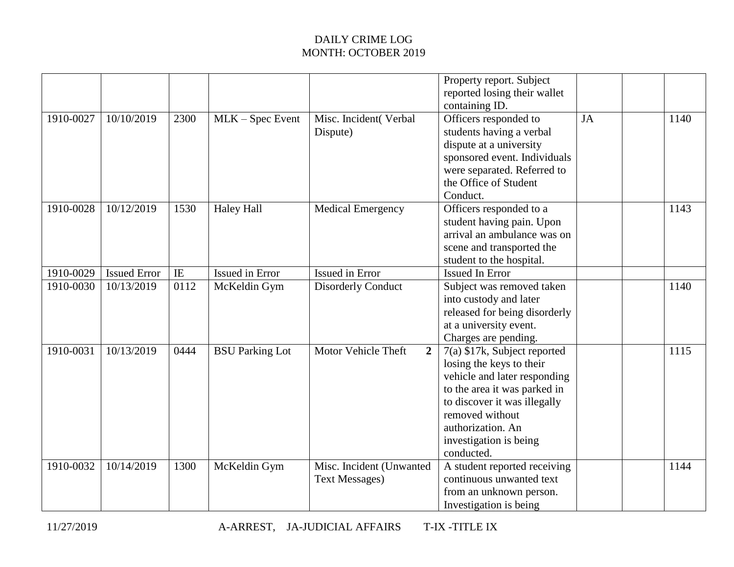|           |                     |            |                        |                                                   | Property report. Subject<br>reported losing their wallet<br>containing ID.                                                                                                                                                               |    |      |
|-----------|---------------------|------------|------------------------|---------------------------------------------------|------------------------------------------------------------------------------------------------------------------------------------------------------------------------------------------------------------------------------------------|----|------|
| 1910-0027 | 10/10/2019          | 2300       | $MLK - Spec$ Event     | Misc. Incident(Verbal<br>Dispute)                 | Officers responded to<br>students having a verbal<br>dispute at a university<br>sponsored event. Individuals<br>were separated. Referred to<br>the Office of Student<br>Conduct.                                                         | JA | 1140 |
| 1910-0028 | 10/12/2019          | 1530       | <b>Haley Hall</b>      | <b>Medical Emergency</b>                          | Officers responded to a<br>student having pain. Upon<br>arrival an ambulance was on<br>scene and transported the<br>student to the hospital.                                                                                             |    | 1143 |
| 1910-0029 | <b>Issued Error</b> | $\rm I\!E$ | Issued in Error        | <b>Issued in Error</b>                            | <b>Issued In Error</b>                                                                                                                                                                                                                   |    |      |
| 1910-0030 | 10/13/2019          | 0112       | McKeldin Gym           | <b>Disorderly Conduct</b>                         | Subject was removed taken<br>into custody and later<br>released for being disorderly<br>at a university event.<br>Charges are pending.                                                                                                   |    | 1140 |
| 1910-0031 | 10/13/2019          | 0444       | <b>BSU Parking Lot</b> | Motor Vehicle Theft<br>$\overline{2}$             | 7(a) \$17k, Subject reported<br>losing the keys to their<br>vehicle and later responding<br>to the area it was parked in<br>to discover it was illegally<br>removed without<br>authorization. An<br>investigation is being<br>conducted. |    | 1115 |
| 1910-0032 | 10/14/2019          | 1300       | McKeldin Gym           | Misc. Incident (Unwanted<br><b>Text Messages)</b> | A student reported receiving<br>continuous unwanted text<br>from an unknown person.<br>Investigation is being                                                                                                                            |    | 1144 |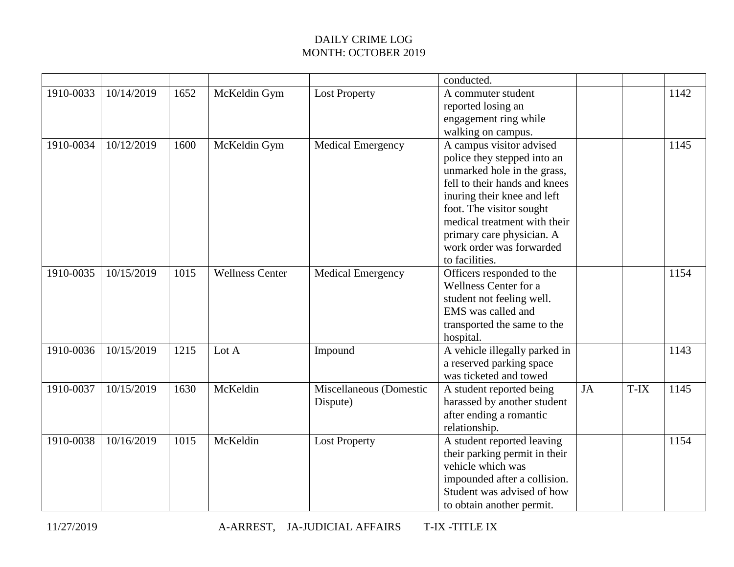|           |            |      |                        |                                     | conducted.                                                                                                                                                                                                                                                                                    |    |      |      |
|-----------|------------|------|------------------------|-------------------------------------|-----------------------------------------------------------------------------------------------------------------------------------------------------------------------------------------------------------------------------------------------------------------------------------------------|----|------|------|
| 1910-0033 | 10/14/2019 | 1652 | McKeldin Gym           | <b>Lost Property</b>                | A commuter student<br>reported losing an<br>engagement ring while<br>walking on campus.                                                                                                                                                                                                       |    |      | 1142 |
| 1910-0034 | 10/12/2019 | 1600 | McKeldin Gym           | <b>Medical Emergency</b>            | A campus visitor advised<br>police they stepped into an<br>unmarked hole in the grass,<br>fell to their hands and knees<br>inuring their knee and left<br>foot. The visitor sought<br>medical treatment with their<br>primary care physician. A<br>work order was forwarded<br>to facilities. |    |      | 1145 |
| 1910-0035 | 10/15/2019 | 1015 | <b>Wellness Center</b> | <b>Medical Emergency</b>            | Officers responded to the<br>Wellness Center for a<br>student not feeling well.<br>EMS was called and<br>transported the same to the<br>hospital.                                                                                                                                             |    |      | 1154 |
| 1910-0036 | 10/15/2019 | 1215 | Lot A                  | Impound                             | A vehicle illegally parked in<br>a reserved parking space<br>was ticketed and towed                                                                                                                                                                                                           |    |      | 1143 |
| 1910-0037 | 10/15/2019 | 1630 | McKeldin               | Miscellaneous (Domestic<br>Dispute) | A student reported being<br>harassed by another student<br>after ending a romantic<br>relationship.                                                                                                                                                                                           | JA | T-IX | 1145 |
| 1910-0038 | 10/16/2019 | 1015 | McKeldin               | <b>Lost Property</b>                | A student reported leaving<br>their parking permit in their<br>vehicle which was<br>impounded after a collision.<br>Student was advised of how<br>to obtain another permit.                                                                                                                   |    |      | 1154 |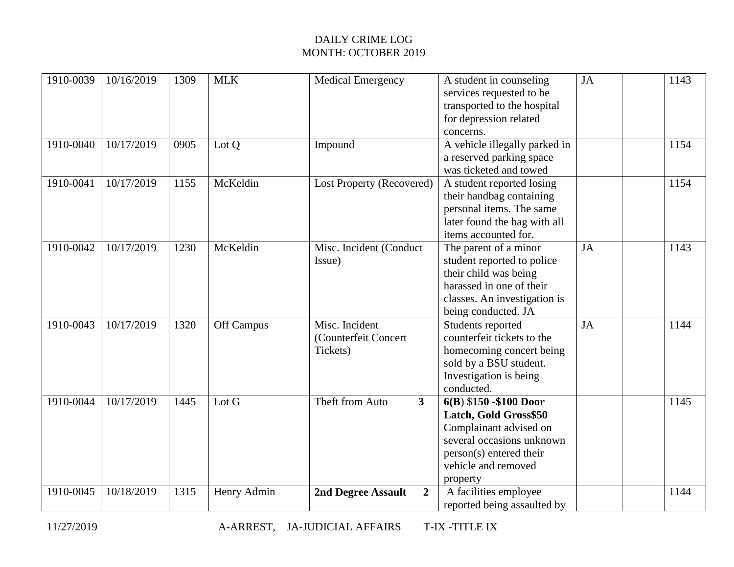| 1910-0039 | 10/16/2019 | 1309 | <b>MLK</b>  | <b>Medical Emergency</b>                           | A student in counseling<br>services requested to be<br>transported to the hospital<br>for depression related<br>concerns.                                             | <b>JA</b> | 1143 |
|-----------|------------|------|-------------|----------------------------------------------------|-----------------------------------------------------------------------------------------------------------------------------------------------------------------------|-----------|------|
| 1910-0040 | 10/17/2019 | 0905 | Lot Q       | Impound                                            | A vehicle illegally parked in<br>a reserved parking space<br>was ticketed and towed                                                                                   |           | 1154 |
| 1910-0041 | 10/17/2019 | 1155 | McKeldin    | Lost Property (Recovered)                          | A student reported losing<br>their handbag containing<br>personal items. The same<br>later found the bag with all<br>items accounted for.                             |           | 1154 |
| 1910-0042 | 10/17/2019 | 1230 | McKeldin    | Misc. Incident (Conduct<br>Issue)                  | The parent of a minor<br>student reported to police<br>their child was being<br>harassed in one of their<br>classes. An investigation is<br>being conducted. JA       | JA        | 1143 |
| 1910-0043 | 10/17/2019 | 1320 | Off Campus  | Misc. Incident<br>(Counterfeit Concert<br>Tickets) | Students reported<br>counterfeit tickets to the<br>homecoming concert being<br>sold by a BSU student.<br>Investigation is being<br>conducted.                         | JA        | 1144 |
| 1910-0044 | 10/17/2019 | 1445 | Lot G       | 3<br>Theft from Auto                               | 6(B) \$150 - \$100 Door<br>Latch, Gold Gross\$50<br>Complainant advised on<br>several occasions unknown<br>person(s) entered their<br>vehicle and removed<br>property |           | 1145 |
| 1910-0045 | 10/18/2019 | 1315 | Henry Admin | 2nd Degree Assault<br>$\overline{2}$               | A facilities employee<br>reported being assaulted by                                                                                                                  |           | 1144 |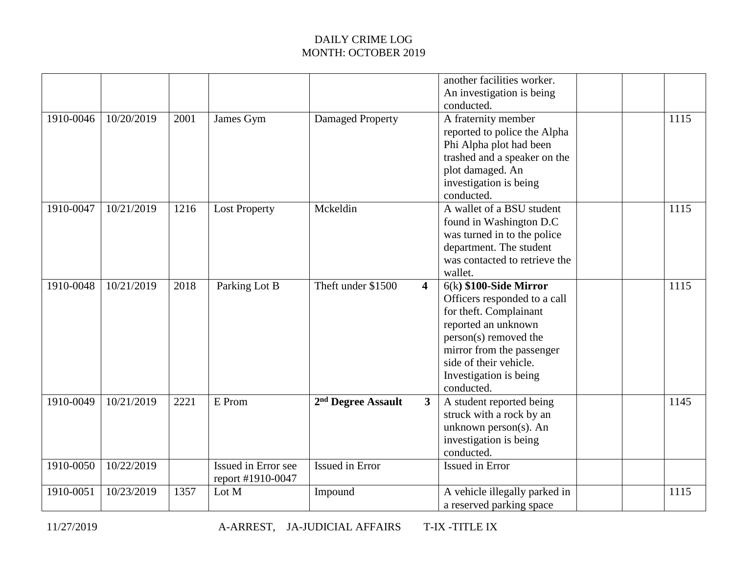|           |            |      |                      |                                |                         | another facilities worker.    |      |
|-----------|------------|------|----------------------|--------------------------------|-------------------------|-------------------------------|------|
|           |            |      |                      |                                |                         | An investigation is being     |      |
|           |            |      |                      |                                |                         | conducted.                    |      |
| 1910-0046 | 10/20/2019 | 2001 | James Gym            | Damaged Property               |                         | A fraternity member           | 1115 |
|           |            |      |                      |                                |                         | reported to police the Alpha  |      |
|           |            |      |                      |                                |                         | Phi Alpha plot had been       |      |
|           |            |      |                      |                                |                         | trashed and a speaker on the  |      |
|           |            |      |                      |                                |                         | plot damaged. An              |      |
|           |            |      |                      |                                |                         | investigation is being        |      |
|           |            |      |                      |                                |                         | conducted.                    |      |
| 1910-0047 | 10/21/2019 | 1216 | <b>Lost Property</b> | Mckeldin                       |                         | A wallet of a BSU student     | 1115 |
|           |            |      |                      |                                |                         |                               |      |
|           |            |      |                      |                                |                         | found in Washington D.C       |      |
|           |            |      |                      |                                |                         | was turned in to the police   |      |
|           |            |      |                      |                                |                         | department. The student       |      |
|           |            |      |                      |                                |                         | was contacted to retrieve the |      |
|           |            |      |                      |                                |                         | wallet.                       |      |
| 1910-0048 | 10/21/2019 | 2018 | Parking Lot B        | Theft under \$1500             | $\overline{\mathbf{4}}$ | $6(k)$ \$100-Side Mirror      | 1115 |
|           |            |      |                      |                                |                         | Officers responded to a call  |      |
|           |            |      |                      |                                |                         | for theft. Complainant        |      |
|           |            |      |                      |                                |                         | reported an unknown           |      |
|           |            |      |                      |                                |                         | person(s) removed the         |      |
|           |            |      |                      |                                |                         | mirror from the passenger     |      |
|           |            |      |                      |                                |                         | side of their vehicle.        |      |
|           |            |      |                      |                                |                         | Investigation is being        |      |
|           |            |      |                      |                                |                         | conducted.                    |      |
| 1910-0049 | 10/21/2019 | 2221 | E Prom               | 2 <sup>nd</sup> Degree Assault | 3                       | A student reported being      | 1145 |
|           |            |      |                      |                                |                         | struck with a rock by an      |      |
|           |            |      |                      |                                |                         | unknown person(s). An         |      |
|           |            |      |                      |                                |                         | investigation is being        |      |
|           |            |      |                      |                                |                         | conducted.                    |      |
| 1910-0050 | 10/22/2019 |      | Issued in Error see  | <b>Issued in Error</b>         |                         | Issued in Error               |      |
|           |            |      | report #1910-0047    |                                |                         |                               |      |
| 1910-0051 | 10/23/2019 | 1357 | Lot M                | Impound                        |                         | A vehicle illegally parked in | 1115 |
|           |            |      |                      |                                |                         |                               |      |
|           |            |      |                      |                                |                         | a reserved parking space      |      |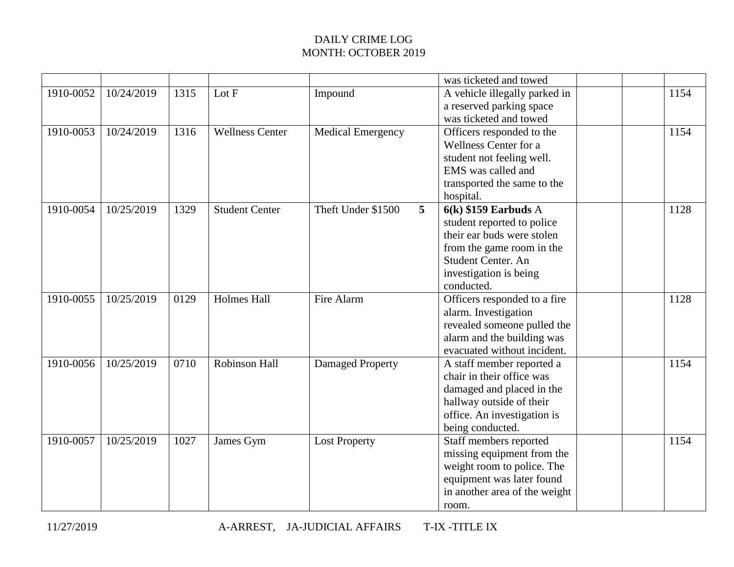| 10/24/2019<br>Lot F<br>A vehicle illegally parked in<br>1910-0052<br>1315<br>Impound<br>1154<br>a reserved parking space<br>was ticketed and towed<br>1910-0053<br>10/24/2019<br>1316<br><b>Wellness Center</b><br>1154<br><b>Medical Emergency</b><br>Officers responded to the<br>Wellness Center for a<br>student not feeling well.<br>EMS was called and<br>transported the same to the<br>hospital.<br>$6(k)$ \$159 Earbuds A<br>1910-0054<br>10/25/2019<br>1329<br><b>Student Center</b><br>Theft Under \$1500<br>$\overline{5}$<br>1128<br>student reported to police<br>their ear buds were stolen<br>from the game room in the<br>Student Center. An<br>investigation is being<br>conducted.<br><b>Holmes Hall</b><br>10/25/2019<br>0129<br>Fire Alarm<br>Officers responded to a fire<br>1910-0055<br>1128<br>alarm. Investigation<br>revealed someone pulled the<br>alarm and the building was<br>evacuated without incident.<br>Robinson Hall<br>1910-0056<br>10/25/2019<br>0710<br><b>Damaged Property</b><br>A staff member reported a<br>1154<br>chair in their office was<br>damaged and placed in the |  |  | was ticketed and towed   |  |  |
|------------------------------------------------------------------------------------------------------------------------------------------------------------------------------------------------------------------------------------------------------------------------------------------------------------------------------------------------------------------------------------------------------------------------------------------------------------------------------------------------------------------------------------------------------------------------------------------------------------------------------------------------------------------------------------------------------------------------------------------------------------------------------------------------------------------------------------------------------------------------------------------------------------------------------------------------------------------------------------------------------------------------------------------------------------------------------------------------------------------------|--|--|--------------------------|--|--|
|                                                                                                                                                                                                                                                                                                                                                                                                                                                                                                                                                                                                                                                                                                                                                                                                                                                                                                                                                                                                                                                                                                                        |  |  |                          |  |  |
|                                                                                                                                                                                                                                                                                                                                                                                                                                                                                                                                                                                                                                                                                                                                                                                                                                                                                                                                                                                                                                                                                                                        |  |  |                          |  |  |
|                                                                                                                                                                                                                                                                                                                                                                                                                                                                                                                                                                                                                                                                                                                                                                                                                                                                                                                                                                                                                                                                                                                        |  |  |                          |  |  |
|                                                                                                                                                                                                                                                                                                                                                                                                                                                                                                                                                                                                                                                                                                                                                                                                                                                                                                                                                                                                                                                                                                                        |  |  |                          |  |  |
|                                                                                                                                                                                                                                                                                                                                                                                                                                                                                                                                                                                                                                                                                                                                                                                                                                                                                                                                                                                                                                                                                                                        |  |  |                          |  |  |
|                                                                                                                                                                                                                                                                                                                                                                                                                                                                                                                                                                                                                                                                                                                                                                                                                                                                                                                                                                                                                                                                                                                        |  |  |                          |  |  |
|                                                                                                                                                                                                                                                                                                                                                                                                                                                                                                                                                                                                                                                                                                                                                                                                                                                                                                                                                                                                                                                                                                                        |  |  |                          |  |  |
|                                                                                                                                                                                                                                                                                                                                                                                                                                                                                                                                                                                                                                                                                                                                                                                                                                                                                                                                                                                                                                                                                                                        |  |  |                          |  |  |
|                                                                                                                                                                                                                                                                                                                                                                                                                                                                                                                                                                                                                                                                                                                                                                                                                                                                                                                                                                                                                                                                                                                        |  |  |                          |  |  |
|                                                                                                                                                                                                                                                                                                                                                                                                                                                                                                                                                                                                                                                                                                                                                                                                                                                                                                                                                                                                                                                                                                                        |  |  |                          |  |  |
|                                                                                                                                                                                                                                                                                                                                                                                                                                                                                                                                                                                                                                                                                                                                                                                                                                                                                                                                                                                                                                                                                                                        |  |  |                          |  |  |
|                                                                                                                                                                                                                                                                                                                                                                                                                                                                                                                                                                                                                                                                                                                                                                                                                                                                                                                                                                                                                                                                                                                        |  |  |                          |  |  |
|                                                                                                                                                                                                                                                                                                                                                                                                                                                                                                                                                                                                                                                                                                                                                                                                                                                                                                                                                                                                                                                                                                                        |  |  |                          |  |  |
|                                                                                                                                                                                                                                                                                                                                                                                                                                                                                                                                                                                                                                                                                                                                                                                                                                                                                                                                                                                                                                                                                                                        |  |  |                          |  |  |
|                                                                                                                                                                                                                                                                                                                                                                                                                                                                                                                                                                                                                                                                                                                                                                                                                                                                                                                                                                                                                                                                                                                        |  |  |                          |  |  |
|                                                                                                                                                                                                                                                                                                                                                                                                                                                                                                                                                                                                                                                                                                                                                                                                                                                                                                                                                                                                                                                                                                                        |  |  |                          |  |  |
|                                                                                                                                                                                                                                                                                                                                                                                                                                                                                                                                                                                                                                                                                                                                                                                                                                                                                                                                                                                                                                                                                                                        |  |  |                          |  |  |
|                                                                                                                                                                                                                                                                                                                                                                                                                                                                                                                                                                                                                                                                                                                                                                                                                                                                                                                                                                                                                                                                                                                        |  |  |                          |  |  |
|                                                                                                                                                                                                                                                                                                                                                                                                                                                                                                                                                                                                                                                                                                                                                                                                                                                                                                                                                                                                                                                                                                                        |  |  |                          |  |  |
|                                                                                                                                                                                                                                                                                                                                                                                                                                                                                                                                                                                                                                                                                                                                                                                                                                                                                                                                                                                                                                                                                                                        |  |  |                          |  |  |
|                                                                                                                                                                                                                                                                                                                                                                                                                                                                                                                                                                                                                                                                                                                                                                                                                                                                                                                                                                                                                                                                                                                        |  |  |                          |  |  |
|                                                                                                                                                                                                                                                                                                                                                                                                                                                                                                                                                                                                                                                                                                                                                                                                                                                                                                                                                                                                                                                                                                                        |  |  |                          |  |  |
|                                                                                                                                                                                                                                                                                                                                                                                                                                                                                                                                                                                                                                                                                                                                                                                                                                                                                                                                                                                                                                                                                                                        |  |  |                          |  |  |
|                                                                                                                                                                                                                                                                                                                                                                                                                                                                                                                                                                                                                                                                                                                                                                                                                                                                                                                                                                                                                                                                                                                        |  |  |                          |  |  |
|                                                                                                                                                                                                                                                                                                                                                                                                                                                                                                                                                                                                                                                                                                                                                                                                                                                                                                                                                                                                                                                                                                                        |  |  |                          |  |  |
|                                                                                                                                                                                                                                                                                                                                                                                                                                                                                                                                                                                                                                                                                                                                                                                                                                                                                                                                                                                                                                                                                                                        |  |  | hallway outside of their |  |  |
| office. An investigation is                                                                                                                                                                                                                                                                                                                                                                                                                                                                                                                                                                                                                                                                                                                                                                                                                                                                                                                                                                                                                                                                                            |  |  |                          |  |  |
| being conducted.                                                                                                                                                                                                                                                                                                                                                                                                                                                                                                                                                                                                                                                                                                                                                                                                                                                                                                                                                                                                                                                                                                       |  |  |                          |  |  |
| 1910-0057<br>10/25/2019<br>1027<br>Staff members reported<br>1154<br>James Gym<br><b>Lost Property</b>                                                                                                                                                                                                                                                                                                                                                                                                                                                                                                                                                                                                                                                                                                                                                                                                                                                                                                                                                                                                                 |  |  |                          |  |  |
| missing equipment from the                                                                                                                                                                                                                                                                                                                                                                                                                                                                                                                                                                                                                                                                                                                                                                                                                                                                                                                                                                                                                                                                                             |  |  |                          |  |  |
| weight room to police. The                                                                                                                                                                                                                                                                                                                                                                                                                                                                                                                                                                                                                                                                                                                                                                                                                                                                                                                                                                                                                                                                                             |  |  |                          |  |  |
| equipment was later found                                                                                                                                                                                                                                                                                                                                                                                                                                                                                                                                                                                                                                                                                                                                                                                                                                                                                                                                                                                                                                                                                              |  |  |                          |  |  |
| in another area of the weight                                                                                                                                                                                                                                                                                                                                                                                                                                                                                                                                                                                                                                                                                                                                                                                                                                                                                                                                                                                                                                                                                          |  |  |                          |  |  |
| room.                                                                                                                                                                                                                                                                                                                                                                                                                                                                                                                                                                                                                                                                                                                                                                                                                                                                                                                                                                                                                                                                                                                  |  |  |                          |  |  |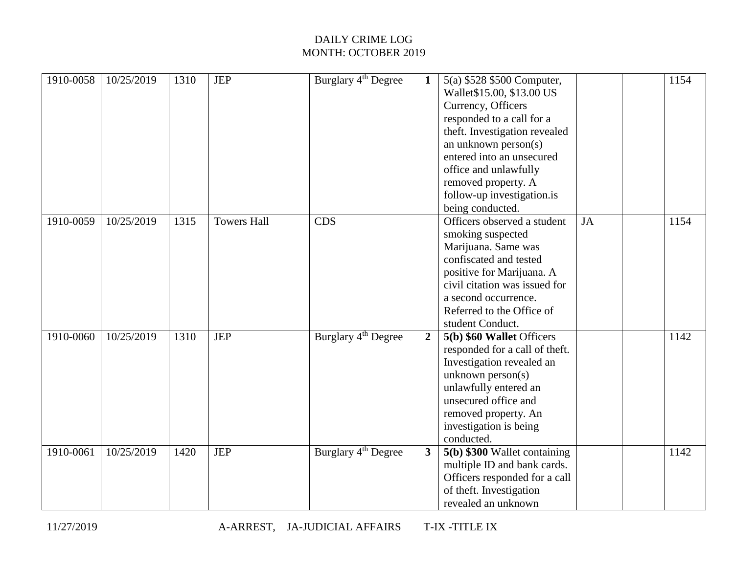| 1910-0058 | 10/25/2019 | 1310 | <b>JEP</b>         | Burglary 4 <sup>th</sup> Degree | $\mathbf{1}$   | 5(a) \$528 \$500 Computer,     |    | 1154 |
|-----------|------------|------|--------------------|---------------------------------|----------------|--------------------------------|----|------|
|           |            |      |                    |                                 |                | Wallet\$15.00, \$13.00 US      |    |      |
|           |            |      |                    |                                 |                | Currency, Officers             |    |      |
|           |            |      |                    |                                 |                | responded to a call for a      |    |      |
|           |            |      |                    |                                 |                | theft. Investigation revealed  |    |      |
|           |            |      |                    |                                 |                | an unknown person(s)           |    |      |
|           |            |      |                    |                                 |                | entered into an unsecured      |    |      |
|           |            |      |                    |                                 |                | office and unlawfully          |    |      |
|           |            |      |                    |                                 |                | removed property. A            |    |      |
|           |            |      |                    |                                 |                | follow-up investigation.is     |    |      |
|           |            |      |                    |                                 |                | being conducted.               |    |      |
| 1910-0059 | 10/25/2019 | 1315 | <b>Towers Hall</b> | CDS                             |                | Officers observed a student    | JA | 1154 |
|           |            |      |                    |                                 |                | smoking suspected              |    |      |
|           |            |      |                    |                                 |                | Marijuana. Same was            |    |      |
|           |            |      |                    |                                 |                | confiscated and tested         |    |      |
|           |            |      |                    |                                 |                | positive for Marijuana. A      |    |      |
|           |            |      |                    |                                 |                | civil citation was issued for  |    |      |
|           |            |      |                    |                                 |                | a second occurrence.           |    |      |
|           |            |      |                    |                                 |                | Referred to the Office of      |    |      |
|           |            |      |                    |                                 |                | student Conduct.               |    |      |
| 1910-0060 | 10/25/2019 | 1310 | <b>JEP</b>         | Burglary 4 <sup>th</sup> Degree | $\overline{2}$ | 5(b) \$60 Wallet Officers      |    | 1142 |
|           |            |      |                    |                                 |                | responded for a call of theft. |    |      |
|           |            |      |                    |                                 |                | Investigation revealed an      |    |      |
|           |            |      |                    |                                 |                | unknown $person(s)$            |    |      |
|           |            |      |                    |                                 |                | unlawfully entered an          |    |      |
|           |            |      |                    |                                 |                | unsecured office and           |    |      |
|           |            |      |                    |                                 |                | removed property. An           |    |      |
|           |            |      |                    |                                 |                | investigation is being         |    |      |
|           |            |      |                    |                                 |                | conducted.                     |    |      |
| 1910-0061 | 10/25/2019 | 1420 | <b>JEP</b>         | Burglary 4 <sup>th</sup> Degree | 3 <sup>1</sup> | 5(b) \$300 Wallet containing   |    | 1142 |
|           |            |      |                    |                                 |                | multiple ID and bank cards.    |    |      |
|           |            |      |                    |                                 |                | Officers responded for a call  |    |      |
|           |            |      |                    |                                 |                | of theft. Investigation        |    |      |
|           |            |      |                    |                                 |                | revealed an unknown            |    |      |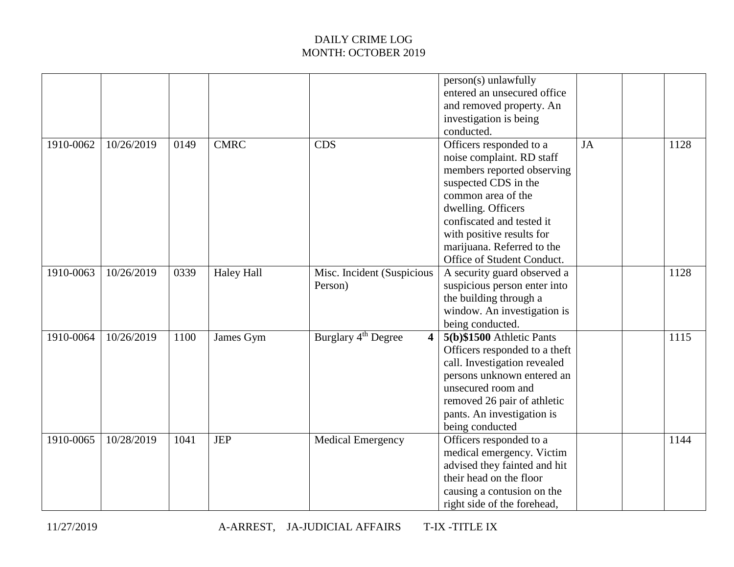|           |            |      |                   |                                       | person(s) unlawfully<br>entered an unsecured office<br>and removed property. An<br>investigation is being<br>conducted.                                                                                                                                                      |    |      |
|-----------|------------|------|-------------------|---------------------------------------|------------------------------------------------------------------------------------------------------------------------------------------------------------------------------------------------------------------------------------------------------------------------------|----|------|
| 1910-0062 | 10/26/2019 | 0149 | <b>CMRC</b>       | <b>CDS</b>                            | Officers responded to a<br>noise complaint. RD staff<br>members reported observing<br>suspected CDS in the<br>common area of the<br>dwelling. Officers<br>confiscated and tested it<br>with positive results for<br>marijuana. Referred to the<br>Office of Student Conduct. | JA | 1128 |
| 1910-0063 | 10/26/2019 | 0339 | <b>Haley Hall</b> | Misc. Incident (Suspicious<br>Person) | A security guard observed a<br>suspicious person enter into<br>the building through a<br>window. An investigation is<br>being conducted.                                                                                                                                     |    | 1128 |
| 1910-0064 | 10/26/2019 | 1100 | James Gym         | Burglary 4 <sup>th</sup> Degree       | 5(b) \$1500 Athletic Pants<br>Officers responded to a theft<br>call. Investigation revealed<br>persons unknown entered an<br>unsecured room and<br>removed 26 pair of athletic<br>pants. An investigation is<br>being conducted                                              |    | 1115 |
| 1910-0065 | 10/28/2019 | 1041 | <b>JEP</b>        | <b>Medical Emergency</b>              | Officers responded to a<br>medical emergency. Victim<br>advised they fainted and hit<br>their head on the floor<br>causing a contusion on the<br>right side of the forehead,                                                                                                 |    | 1144 |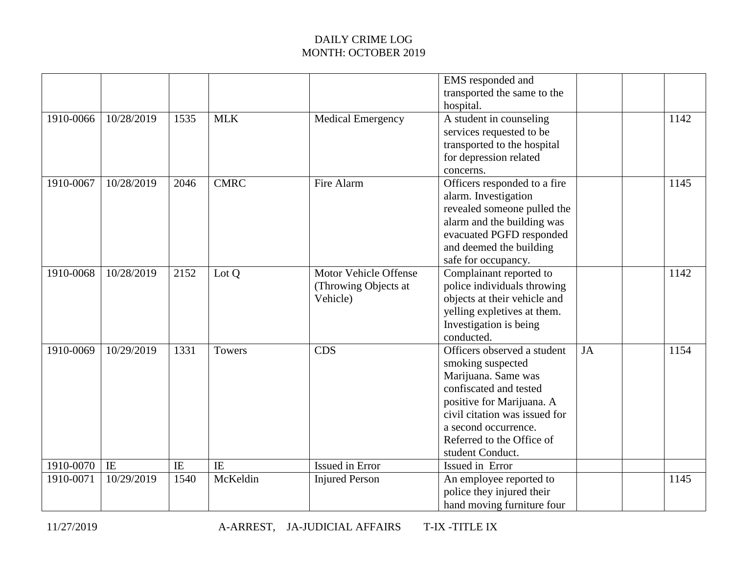|           |            |      |             |                                                           | EMS responded and<br>transported the same to the<br>hospital.                                                                                                                                                                            |           |      |
|-----------|------------|------|-------------|-----------------------------------------------------------|------------------------------------------------------------------------------------------------------------------------------------------------------------------------------------------------------------------------------------------|-----------|------|
| 1910-0066 | 10/28/2019 | 1535 | <b>MLK</b>  | <b>Medical Emergency</b>                                  | A student in counseling<br>services requested to be<br>transported to the hospital<br>for depression related<br>concerns.                                                                                                                |           | 1142 |
| 1910-0067 | 10/28/2019 | 2046 | <b>CMRC</b> | Fire Alarm                                                | Officers responded to a fire<br>alarm. Investigation<br>revealed someone pulled the<br>alarm and the building was<br>evacuated PGFD responded<br>and deemed the building<br>safe for occupancy.                                          |           | 1145 |
| 1910-0068 | 10/28/2019 | 2152 | Lot Q       | Motor Vehicle Offense<br>(Throwing Objects at<br>Vehicle) | Complainant reported to<br>police individuals throwing<br>objects at their vehicle and<br>yelling expletives at them.<br>Investigation is being<br>conducted.                                                                            |           | 1142 |
| 1910-0069 | 10/29/2019 | 1331 | Towers      | <b>CDS</b>                                                | Officers observed a student<br>smoking suspected<br>Marijuana. Same was<br>confiscated and tested<br>positive for Marijuana. A<br>civil citation was issued for<br>a second occurrence.<br>Referred to the Office of<br>student Conduct. | <b>JA</b> | 1154 |
| 1910-0070 | IE         | IE   | IE          | <b>Issued in Error</b>                                    | Issued in Error                                                                                                                                                                                                                          |           |      |
| 1910-0071 | 10/29/2019 | 1540 | McKeldin    | <b>Injured Person</b>                                     | An employee reported to<br>police they injured their<br>hand moving furniture four                                                                                                                                                       |           | 1145 |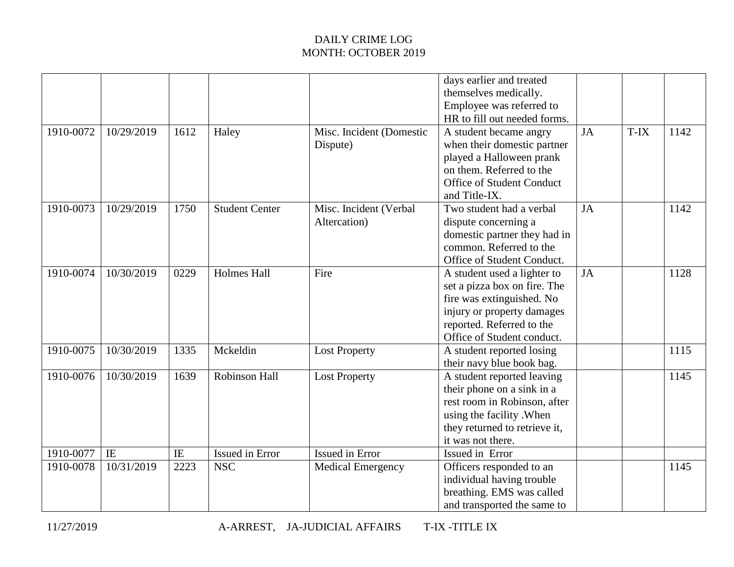|           |            |      |                       |                                        | days earlier and treated<br>themselves medically.<br>Employee was referred to<br>HR to fill out needed forms.                                                                     |    |      |      |
|-----------|------------|------|-----------------------|----------------------------------------|-----------------------------------------------------------------------------------------------------------------------------------------------------------------------------------|----|------|------|
| 1910-0072 | 10/29/2019 | 1612 | Haley                 | Misc. Incident (Domestic<br>Dispute)   | A student became angry<br>when their domestic partner<br>played a Halloween prank<br>on them. Referred to the<br>Office of Student Conduct<br>and Title-IX.                       | JA | T-IX | 1142 |
| 1910-0073 | 10/29/2019 | 1750 | <b>Student Center</b> | Misc. Incident (Verbal<br>Altercation) | Two student had a verbal<br>dispute concerning a<br>domestic partner they had in<br>common. Referred to the<br>Office of Student Conduct.                                         | JA |      | 1142 |
| 1910-0074 | 10/30/2019 | 0229 | <b>Holmes Hall</b>    | Fire                                   | A student used a lighter to<br>set a pizza box on fire. The<br>fire was extinguished. No<br>injury or property damages<br>reported. Referred to the<br>Office of Student conduct. | JA |      | 1128 |
| 1910-0075 | 10/30/2019 | 1335 | Mckeldin              | <b>Lost Property</b>                   | A student reported losing<br>their navy blue book bag.                                                                                                                            |    |      | 1115 |
| 1910-0076 | 10/30/2019 | 1639 | Robinson Hall         | <b>Lost Property</b>                   | A student reported leaving<br>their phone on a sink in a<br>rest room in Robinson, after<br>using the facility . When<br>they returned to retrieve it,<br>it was not there.       |    |      | 1145 |
| 1910-0077 | IE         | IE   | Issued in Error       | Issued in Error                        | Issued in Error                                                                                                                                                                   |    |      |      |
| 1910-0078 | 10/31/2019 | 2223 | <b>NSC</b>            | <b>Medical Emergency</b>               | Officers responded to an<br>individual having trouble<br>breathing. EMS was called<br>and transported the same to                                                                 |    |      | 1145 |